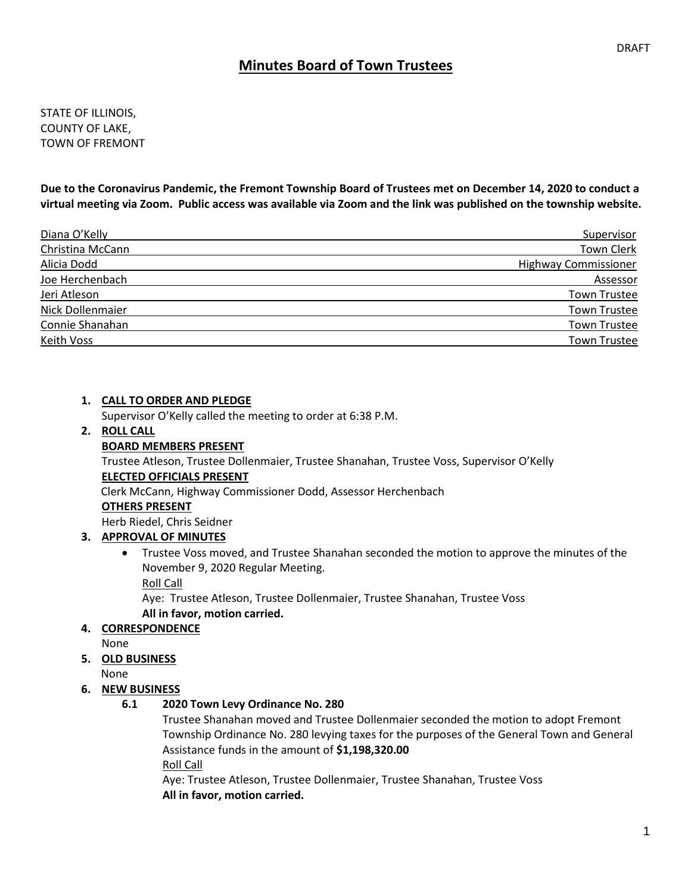# **Minutes Board of Town Trustees**

STATE OF ILLINOIS, COUNTY OF LAKE, TOWN OF FREMONT

**Due to the Coronavirus Pandemic, the Fremont Township Board of Trustees met on December 14, 2020 to conduct a virtual meeting via Zoom. Public access was available via Zoom and the link was published on the township website.**

| Diana O'Kelly    | Supervisor                  |
|------------------|-----------------------------|
| Christina McCann | <b>Town Clerk</b>           |
| Alicia Dodd      | <b>Highway Commissioner</b> |
| Joe Herchenbach  | Assessor                    |
| Jeri Atleson     | <b>Town Trustee</b>         |
| Nick Dollenmaier | <b>Town Trustee</b>         |
| Connie Shanahan  | <b>Town Trustee</b>         |
| Keith Voss       | <b>Town Trustee</b>         |

### **1. CALL TO ORDER AND PLEDGE**

Supervisor O'Kelly called the meeting to order at 6:38 P.M.

#### **2. ROLL CALL**

#### **BOARD MEMBERS PRESENT**

Trustee Atleson, Trustee Dollenmaier, Trustee Shanahan, Trustee Voss, Supervisor O'Kelly

# **ELECTED OFFICIALS PRESENT**

Clerk McCann, Highway Commissioner Dodd, Assessor Herchenbach

### **OTHERS PRESENT**

Herb Riedel, Chris Seidner

### **3. APPROVAL OF MINUTES**

• Trustee Voss moved, and Trustee Shanahan seconded the motion to approve the minutes of the November 9, 2020 Regular Meeting.

Roll Call

Aye: Trustee Atleson, Trustee Dollenmaier, Trustee Shanahan, Trustee Voss **All in favor, motion carried.** 

### **4. CORRESPONDENCE**

None

**5. OLD BUSINESS**

None

### **6. NEW BUSINESS**

### **6.1 2020 Town Levy Ordinance No. 280**

Trustee Shanahan moved and Trustee Dollenmaier seconded the motion to adopt Fremont Township Ordinance No. 280 levying taxes for the purposes of the General Town and General Assistance funds in the amount of **\$1,198,320.00** Roll Call

Aye: Trustee Atleson, Trustee Dollenmaier, Trustee Shanahan, Trustee Voss **All in favor, motion carried.**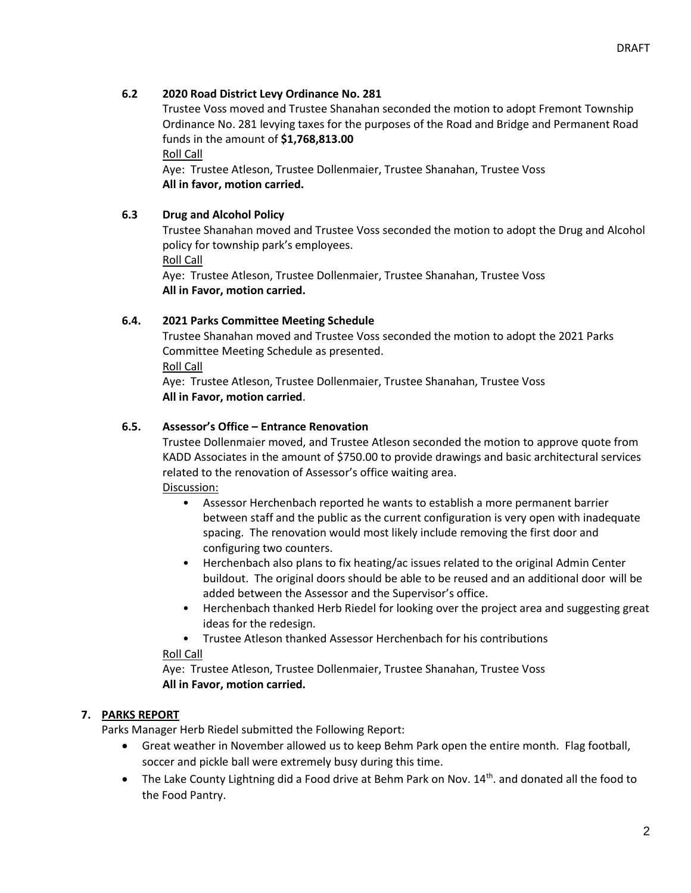## **6.2 2020 Road District Levy Ordinance No. 281**

Trustee Voss moved and Trustee Shanahan seconded the motion to adopt Fremont Township Ordinance No. 281 levying taxes for the purposes of the Road and Bridge and Permanent Road funds in the amount of **\$1,768,813.00**

Roll Call

Aye: Trustee Atleson, Trustee Dollenmaier, Trustee Shanahan, Trustee Voss **All in favor, motion carried.** 

## **6.3 Drug and Alcohol Policy**

Trustee Shanahan moved and Trustee Voss seconded the motion to adopt the Drug and Alcohol policy for township park's employees.

Roll Call

Aye: Trustee Atleson, Trustee Dollenmaier, Trustee Shanahan, Trustee Voss **All in Favor, motion carried.** 

## **6.4. 2021 Parks Committee Meeting Schedule**

Trustee Shanahan moved and Trustee Voss seconded the motion to adopt the 2021 Parks Committee Meeting Schedule as presented.

Roll Call

Aye: Trustee Atleson, Trustee Dollenmaier, Trustee Shanahan, Trustee Voss **All in Favor, motion carried**.

## **6.5. Assessor's Office – Entrance Renovation**

Trustee Dollenmaier moved, and Trustee Atleson seconded the motion to approve quote from KADD Associates in the amount of \$750.00 to provide drawings and basic architectural services related to the renovation of Assessor's office waiting area. Discussion:

- Assessor Herchenbach reported he wants to establish a more permanent barrier between staff and the public as the current configuration is very open with inadequate spacing. The renovation would most likely include removing the first door and configuring two counters.
- Herchenbach also plans to fix heating/ac issues related to the original Admin Center buildout. The original doors should be able to be reused and an additional door will be added between the Assessor and the Supervisor's office.
- Herchenbach thanked Herb Riedel for looking over the project area and suggesting great ideas for the redesign.

• Trustee Atleson thanked Assessor Herchenbach for his contributions Roll Call

Aye: Trustee Atleson, Trustee Dollenmaier, Trustee Shanahan, Trustee Voss **All in Favor, motion carried.** 

# **7. PARKS REPORT**

Parks Manager Herb Riedel submitted the Following Report:

- Great weather in November allowed us to keep Behm Park open the entire month. Flag football, soccer and pickle ball were extremely busy during this time.
- The Lake County Lightning did a Food drive at Behm Park on Nov.  $14<sup>th</sup>$  and donated all the food to the Food Pantry.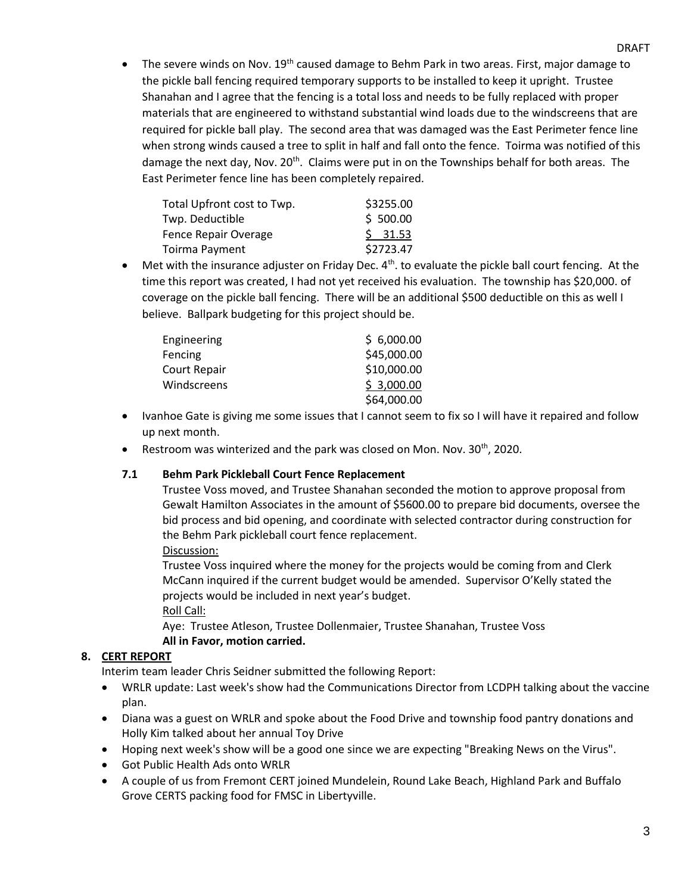• The severe winds on Nov. 19<sup>th</sup> caused damage to Behm Park in two areas. First, major damage to the pickle ball fencing required temporary supports to be installed to keep it upright. Trustee Shanahan and I agree that the fencing is a total loss and needs to be fully replaced with proper materials that are engineered to withstand substantial wind loads due to the windscreens that are required for pickle ball play. The second area that was damaged was the East Perimeter fence line when strong winds caused a tree to split in half and fall onto the fence. Toirma was notified of this damage the next day, Nov. 20<sup>th</sup>. Claims were put in on the Townships behalf for both areas. The East Perimeter fence line has been completely repaired.

| Total Upfront cost to Twp. | \$3255.00 |
|----------------------------|-----------|
| Twp. Deductible            | \$500.00  |
| Fence Repair Overage       | \$31.53   |
| Toirma Payment             | \$2723.47 |

• Met with the insurance adjuster on Friday Dec.  $4^{\text{th}}$ . to evaluate the pickle ball court fencing. At the time this report was created, I had not yet received his evaluation. The township has \$20,000. of coverage on the pickle ball fencing. There will be an additional \$500 deductible on this as well I believe. Ballpark budgeting for this project should be.

| Engineering  | \$6,000.00  |
|--------------|-------------|
| Fencing      | \$45,000.00 |
| Court Repair | \$10,000.00 |
| Windscreens  | \$3,000.00  |
|              | \$64,000.00 |

- Ivanhoe Gate is giving me some issues that I cannot seem to fix so I will have it repaired and follow up next month.
- Restroom was winterized and the park was closed on Mon. Nov. 30<sup>th</sup>, 2020.

# **7.1 Behm Park Pickleball Court Fence Replacement**

Trustee Voss moved, and Trustee Shanahan seconded the motion to approve proposal from Gewalt Hamilton Associates in the amount of \$5600.00 to prepare bid documents, oversee the bid process and bid opening, and coordinate with selected contractor during construction for the Behm Park pickleball court fence replacement.

Discussion:

Trustee Voss inquired where the money for the projects would be coming from and Clerk McCann inquired if the current budget would be amended. Supervisor O'Kelly stated the projects would be included in next year's budget. Roll Call:

Aye: Trustee Atleson, Trustee Dollenmaier, Trustee Shanahan, Trustee Voss

# **All in Favor, motion carried.**

# **8. CERT REPORT**

Interim team leader Chris Seidner submitted the following Report:

- WRLR update: Last week's show had the Communications Director from LCDPH talking about the vaccine plan.
- Diana was a guest on WRLR and spoke about the Food Drive and township food pantry donations and Holly Kim talked about her annual Toy Drive
- Hoping next week's show will be a good one since we are expecting "Breaking News on the Virus".
- Got Public Health Ads onto WRLR
- A couple of us from Fremont CERT joined Mundelein, Round Lake Beach, Highland Park and Buffalo Grove CERTS packing food for FMSC in Libertyville.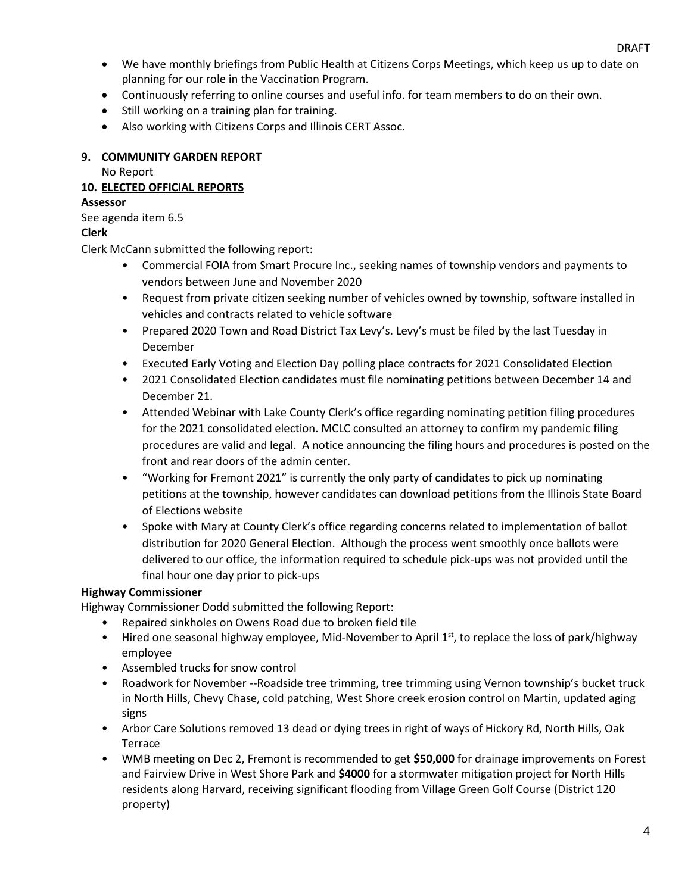- We have monthly briefings from Public Health at Citizens Corps Meetings, which keep us up to date on planning for our role in the Vaccination Program.
- Continuously referring to online courses and useful info. for team members to do on their own.
- Still working on a training plan for training.
- Also working with Citizens Corps and Illinois CERT Assoc.

## **9. COMMUNITY GARDEN REPORT**

No Report

## **10. ELECTED OFFICIAL REPORTS**

## **Assessor**

See agenda item 6.5

# **Clerk**

Clerk McCann submitted the following report:

- Commercial FOIA from Smart Procure Inc., seeking names of township vendors and payments to vendors between June and November 2020
- Request from private citizen seeking number of vehicles owned by township, software installed in vehicles and contracts related to vehicle software
- Prepared 2020 Town and Road District Tax Levy's. Levy's must be filed by the last Tuesday in December
- Executed Early Voting and Election Day polling place contracts for 2021 Consolidated Election
- 2021 Consolidated Election candidates must file nominating petitions between December 14 and December 21.
- Attended Webinar with Lake County Clerk's office regarding nominating petition filing procedures for the 2021 consolidated election. MCLC consulted an attorney to confirm my pandemic filing procedures are valid and legal. A notice announcing the filing hours and procedures is posted on the front and rear doors of the admin center.
- "Working for Fremont 2021" is currently the only party of candidates to pick up nominating petitions at the township, however candidates can download petitions from the Illinois State Board of Elections website
- Spoke with Mary at County Clerk's office regarding concerns related to implementation of ballot distribution for 2020 General Election. Although the process went smoothly once ballots were delivered to our office, the information required to schedule pick-ups was not provided until the final hour one day prior to pick-ups

# **Highway Commissioner**

Highway Commissioner Dodd submitted the following Report:

- Repaired sinkholes on Owens Road due to broken field tile
- Hired one seasonal highway employee, Mid-November to April  $1^{st}$ , to replace the loss of park/highway employee
- Assembled trucks for snow control
- Roadwork for November --Roadside tree trimming, tree trimming using Vernon township's bucket truck in North Hills, Chevy Chase, cold patching, West Shore creek erosion control on Martin, updated aging signs
- Arbor Care Solutions removed 13 dead or dying trees in right of ways of Hickory Rd, North Hills, Oak Terrace
- WMB meeting on Dec 2, Fremont is recommended to get **\$50,000** for drainage improvements on Forest and Fairview Drive in West Shore Park and **\$4000** for a stormwater mitigation project for North Hills residents along Harvard, receiving significant flooding from Village Green Golf Course (District 120 property)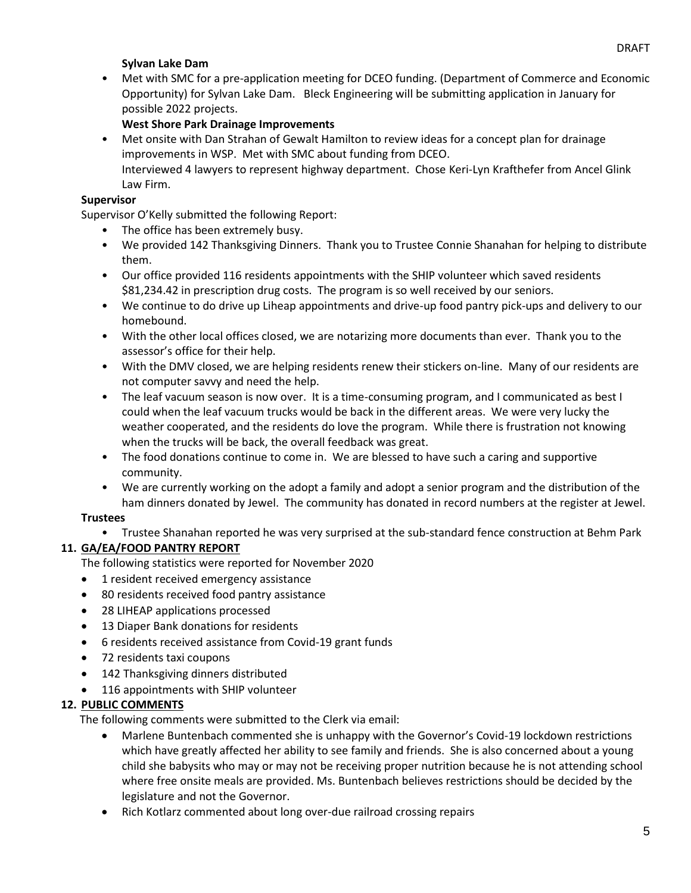## **Sylvan Lake Dam**

• Met with SMC for a pre-application meeting for DCEO funding. (Department of Commerce and Economic Opportunity) for Sylvan Lake Dam. Bleck Engineering will be submitting application in January for possible 2022 projects.

# **West Shore Park Drainage Improvements**

• Met onsite with Dan Strahan of Gewalt Hamilton to review ideas for a concept plan for drainage improvements in WSP. Met with SMC about funding from DCEO. Interviewed 4 lawyers to represent highway department. Chose Keri-Lyn Krafthefer from Ancel Glink Law Firm.

### **Supervisor**

Supervisor O'Kelly submitted the following Report:

- The office has been extremely busy.
- We provided 142 Thanksgiving Dinners. Thank you to Trustee Connie Shanahan for helping to distribute them.
- Our office provided 116 residents appointments with the SHIP volunteer which saved residents \$81,234.42 in prescription drug costs. The program is so well received by our seniors.
- We continue to do drive up Liheap appointments and drive-up food pantry pick-ups and delivery to our homebound.
- With the other local offices closed, we are notarizing more documents than ever. Thank you to the assessor's office for their help.
- With the DMV closed, we are helping residents renew their stickers on-line. Many of our residents are not computer savvy and need the help.
- The leaf vacuum season is now over. It is a time-consuming program, and I communicated as best I could when the leaf vacuum trucks would be back in the different areas. We were very lucky the weather cooperated, and the residents do love the program. While there is frustration not knowing when the trucks will be back, the overall feedback was great.
- The food donations continue to come in. We are blessed to have such a caring and supportive community.
- We are currently working on the adopt a family and adopt a senior program and the distribution of the ham dinners donated by Jewel. The community has donated in record numbers at the register at Jewel.

### **Trustees**

• Trustee Shanahan reported he was very surprised at the sub-standard fence construction at Behm Park

# **11. GA/EA/FOOD PANTRY REPORT**

The following statistics were reported for November 2020

- 1 resident received emergency assistance
- 80 residents received food pantry assistance
- 28 LIHEAP applications processed
- 13 Diaper Bank donations for residents
- 6 residents received assistance from Covid-19 grant funds
- 72 residents taxi coupons
- 142 Thanksgiving dinners distributed
- 116 appointments with SHIP volunteer

# **12. PUBLIC COMMENTS**

The following comments were submitted to the Clerk via email:

- Marlene Buntenbach commented she is unhappy with the Governor's Covid-19 lockdown restrictions which have greatly affected her ability to see family and friends. She is also concerned about a young child she babysits who may or may not be receiving proper nutrition because he is not attending school where free onsite meals are provided. Ms. Buntenbach believes restrictions should be decided by the legislature and not the Governor.
- Rich Kotlarz commented about long over-due railroad crossing repairs